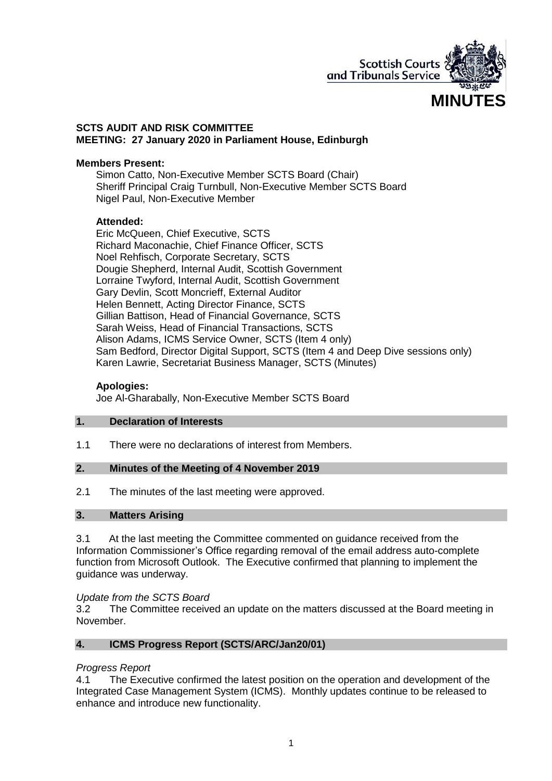

### **SCTS AUDIT AND RISK COMMITTEE MEETING: 27 January 2020 in Parliament House, Edinburgh**

### **Members Present:**

Simon Catto, Non-Executive Member SCTS Board (Chair) Sheriff Principal Craig Turnbull, Non-Executive Member SCTS Board Nigel Paul, Non-Executive Member

### **Attended:**

Eric McQueen, Chief Executive, SCTS Richard Maconachie, Chief Finance Officer, SCTS Noel Rehfisch, Corporate Secretary, SCTS Dougie Shepherd, Internal Audit, Scottish Government Lorraine Twyford, Internal Audit, Scottish Government Gary Devlin, Scott Moncrieff, External Auditor Helen Bennett, Acting Director Finance, SCTS Gillian Battison, Head of Financial Governance, SCTS Sarah Weiss, Head of Financial Transactions, SCTS Alison Adams, ICMS Service Owner, SCTS (Item 4 only) Sam Bedford, Director Digital Support, SCTS (Item 4 and Deep Dive sessions only) Karen Lawrie, Secretariat Business Manager, SCTS (Minutes)

## **Apologies:**

Joe Al-Gharabally, Non-Executive Member SCTS Board

### **1. Declaration of Interests**

1.1 There were no declarations of interest from Members.

# **2. Minutes of the Meeting of 4 November 2019**

2.1 The minutes of the last meeting were approved.

# **3. Matters Arising**

3.1 At the last meeting the Committee commented on guidance received from the Information Commissioner's Office regarding removal of the email address auto-complete function from Microsoft Outlook. The Executive confirmed that planning to implement the guidance was underway.

#### *Update from the SCTS Board*

3.2 The Committee received an update on the matters discussed at the Board meeting in November.

### **4. ICMS Progress Report (SCTS/ARC/Jan20/01)**

#### *Progress Report*

4.1 The Executive confirmed the latest position on the operation and development of the Integrated Case Management System (ICMS). Monthly updates continue to be released to enhance and introduce new functionality.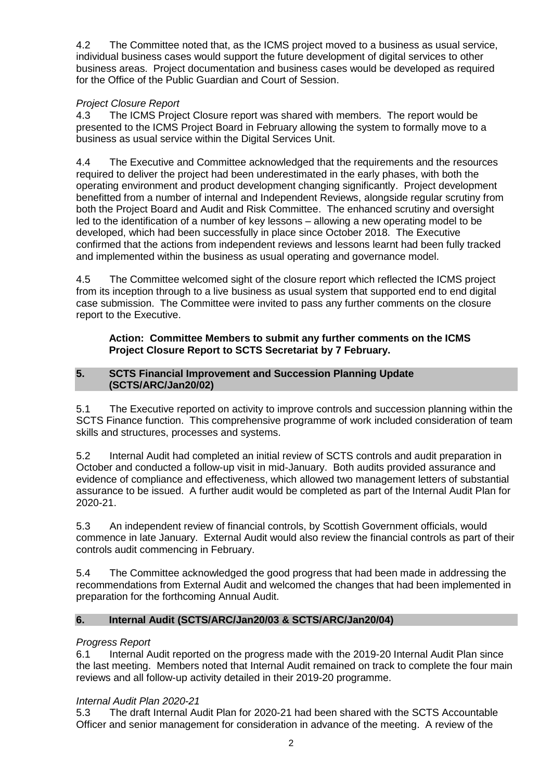4.2 The Committee noted that, as the ICMS project moved to a business as usual service, individual business cases would support the future development of digital services to other business areas. Project documentation and business cases would be developed as required for the Office of the Public Guardian and Court of Session.

# *Project Closure Report*

4.3 The ICMS Project Closure report was shared with members. The report would be presented to the ICMS Project Board in February allowing the system to formally move to a business as usual service within the Digital Services Unit.

4.4 The Executive and Committee acknowledged that the requirements and the resources required to deliver the project had been underestimated in the early phases, with both the operating environment and product development changing significantly. Project development benefitted from a number of internal and Independent Reviews, alongside regular scrutiny from both the Project Board and Audit and Risk Committee. The enhanced scrutiny and oversight led to the identification of a number of key lessons – allowing a new operating model to be developed, which had been successfully in place since October 2018. The Executive confirmed that the actions from independent reviews and lessons learnt had been fully tracked and implemented within the business as usual operating and governance model.

4.5 The Committee welcomed sight of the closure report which reflected the ICMS project from its inception through to a live business as usual system that supported end to end digital case submission. The Committee were invited to pass any further comments on the closure report to the Executive.

# **Action: Committee Members to submit any further comments on the ICMS Project Closure Report to SCTS Secretariat by 7 February.**

# **5. SCTS Financial Improvement and Succession Planning Update (SCTS/ARC/Jan20/02)**

5.1 The Executive reported on activity to improve controls and succession planning within the SCTS Finance function. This comprehensive programme of work included consideration of team skills and structures, processes and systems.

5.2 Internal Audit had completed an initial review of SCTS controls and audit preparation in October and conducted a follow-up visit in mid-January. Both audits provided assurance and evidence of compliance and effectiveness, which allowed two management letters of substantial assurance to be issued. A further audit would be completed as part of the Internal Audit Plan for 2020-21.

5.3 An independent review of financial controls, by Scottish Government officials, would commence in late January. External Audit would also review the financial controls as part of their controls audit commencing in February.

5.4 The Committee acknowledged the good progress that had been made in addressing the recommendations from External Audit and welcomed the changes that had been implemented in preparation for the forthcoming Annual Audit.

# **6. Internal Audit (SCTS/ARC/Jan20/03 & SCTS/ARC/Jan20/04)**

# *Progress Report*

6.1 Internal Audit reported on the progress made with the 2019-20 Internal Audit Plan since the last meeting. Members noted that Internal Audit remained on track to complete the four main reviews and all follow-up activity detailed in their 2019-20 programme.

# *Internal Audit Plan 2020-21*

5.3 The draft Internal Audit Plan for 2020-21 had been shared with the SCTS Accountable Officer and senior management for consideration in advance of the meeting. A review of the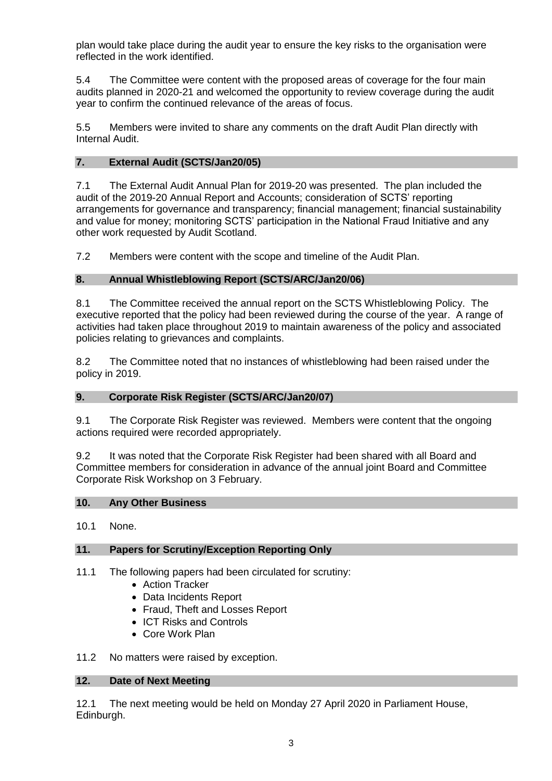plan would take place during the audit year to ensure the key risks to the organisation were reflected in the work identified.

5.4 The Committee were content with the proposed areas of coverage for the four main audits planned in 2020-21 and welcomed the opportunity to review coverage during the audit year to confirm the continued relevance of the areas of focus.

5.5 Members were invited to share any comments on the draft Audit Plan directly with Internal Audit.

### **7. External Audit (SCTS/Jan20/05)**

7.1 The External Audit Annual Plan for 2019-20 was presented. The plan included the audit of the 2019-20 Annual Report and Accounts; consideration of SCTS' reporting arrangements for governance and transparency; financial management; financial sustainability and value for money; monitoring SCTS' participation in the National Fraud Initiative and any other work requested by Audit Scotland.

7.2 Members were content with the scope and timeline of the Audit Plan.

### **8. Annual Whistleblowing Report (SCTS/ARC/Jan20/06)**

8.1 The Committee received the annual report on the SCTS Whistleblowing Policy. The executive reported that the policy had been reviewed during the course of the year. A range of activities had taken place throughout 2019 to maintain awareness of the policy and associated policies relating to grievances and complaints.

8.2 The Committee noted that no instances of whistleblowing had been raised under the policy in 2019.

#### **9. Corporate Risk Register (SCTS/ARC/Jan20/07)**

9.1 The Corporate Risk Register was reviewed. Members were content that the ongoing actions required were recorded appropriately.

9.2 It was noted that the Corporate Risk Register had been shared with all Board and Committee members for consideration in advance of the annual joint Board and Committee Corporate Risk Workshop on 3 February.

# **10. Any Other Business**

10.1 None.

#### **11. Papers for Scrutiny/Exception Reporting Only**

- 11.1 The following papers had been circulated for scrutiny:
	- Action Tracker
	- Data Incidents Report
	- Fraud, Theft and Losses Report
	- ICT Risks and Controls
	- Core Work Plan

11.2 No matters were raised by exception.

#### **12. Date of Next Meeting**

12.1 The next meeting would be held on Monday 27 April 2020 in Parliament House, Edinburgh.